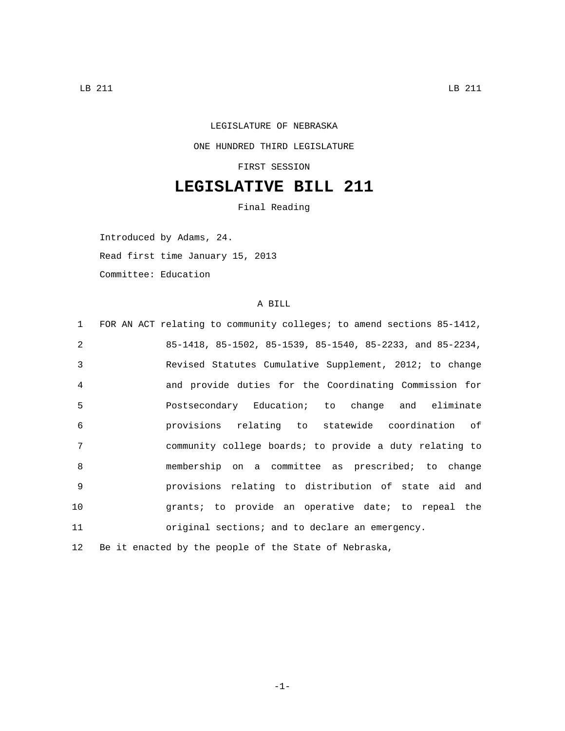## LEGISLATURE OF NEBRASKA ONE HUNDRED THIRD LEGISLATURE

FIRST SESSION

## **LEGISLATIVE BILL 211**

Final Reading

Introduced by Adams, 24.

Read first time January 15, 2013

Committee: Education

## A BILL

| $\mathbf{1}$ | FOR AN ACT relating to community colleges; to amend sections 85-1412, |
|--------------|-----------------------------------------------------------------------|
| 2            | 85-1418, 85-1502, 85-1539, 85-1540, 85-2233, and 85-2234,             |
| 3            | Revised Statutes Cumulative Supplement, 2012; to change               |
| 4            | and provide duties for the Coordinating Commission for                |
| 5            | Postsecondary Education; to change and eliminate                      |
| 6            | provisions relating to statewide coordination of                      |
| 7            | community college boards; to provide a duty relating to               |
| 8            | membership on a committee as prescribed; to change                    |
| $\mathsf{Q}$ | provisions relating to distribution of state aid and                  |
| 10           | grants; to provide an operative date; to repeal the                   |
| 11           | original sections; and to declare an emergency.                       |
| 12           | Be it enacted by the people of the State of Nebraska,                 |

-1-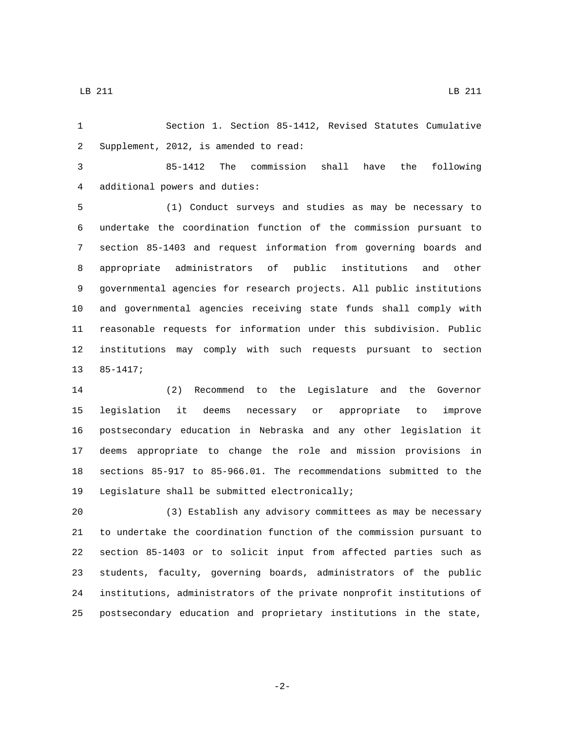Section 1. Section 85-1412, Revised Statutes Cumulative 2 Supplement, 2012, is amended to read:

 85-1412 The commission shall have the following 4 additional powers and duties:

 (1) Conduct surveys and studies as may be necessary to undertake the coordination function of the commission pursuant to section 85-1403 and request information from governing boards and appropriate administrators of public institutions and other governmental agencies for research projects. All public institutions and governmental agencies receiving state funds shall comply with reasonable requests for information under this subdivision. Public institutions may comply with such requests pursuant to section  $13 85 - 1417;$ 

 (2) Recommend to the Legislature and the Governor legislation it deems necessary or appropriate to improve postsecondary education in Nebraska and any other legislation it deems appropriate to change the role and mission provisions in sections 85-917 to 85-966.01. The recommendations submitted to the 19 Legislature shall be submitted electronically;

 (3) Establish any advisory committees as may be necessary to undertake the coordination function of the commission pursuant to section 85-1403 or to solicit input from affected parties such as students, faculty, governing boards, administrators of the public institutions, administrators of the private nonprofit institutions of postsecondary education and proprietary institutions in the state,

-2-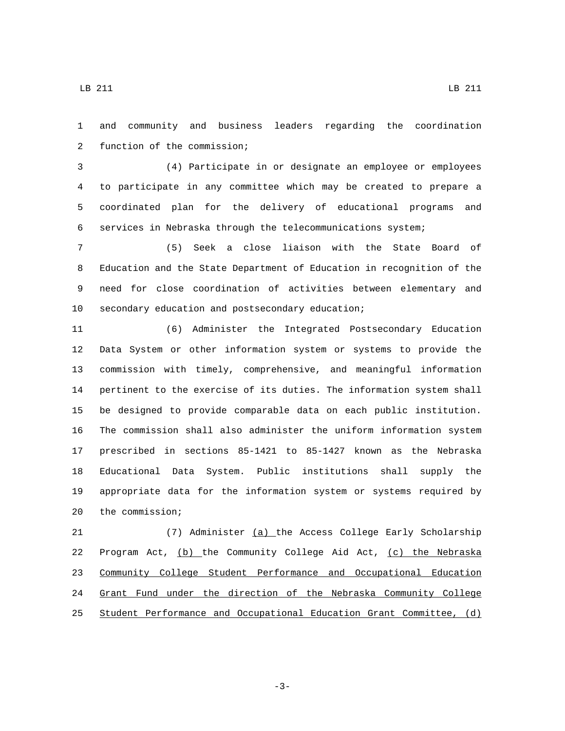LB 211 LB 211

 and community and business leaders regarding the coordination 2 function of the commission;

 (4) Participate in or designate an employee or employees to participate in any committee which may be created to prepare a coordinated plan for the delivery of educational programs and services in Nebraska through the telecommunications system;

 (5) Seek a close liaison with the State Board of Education and the State Department of Education in recognition of the need for close coordination of activities between elementary and 10 secondary education and postsecondary education;

 (6) Administer the Integrated Postsecondary Education Data System or other information system or systems to provide the commission with timely, comprehensive, and meaningful information pertinent to the exercise of its duties. The information system shall be designed to provide comparable data on each public institution. The commission shall also administer the uniform information system prescribed in sections 85-1421 to 85-1427 known as the Nebraska Educational Data System. Public institutions shall supply the appropriate data for the information system or systems required by 20 the commission;

 (7) Administer (a) the Access College Early Scholarship Program Act, (b) the Community College Aid Act, (c) the Nebraska Community College Student Performance and Occupational Education Grant Fund under the direction of the Nebraska Community College Student Performance and Occupational Education Grant Committee, (d)

-3-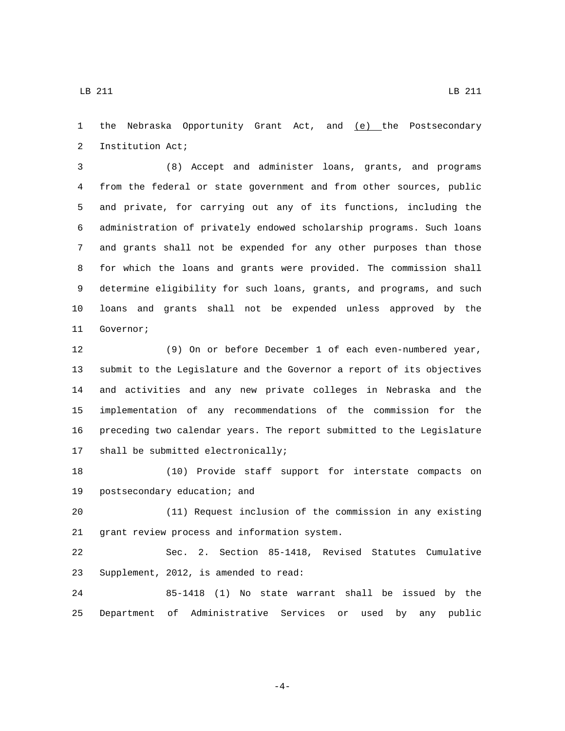the Nebraska Opportunity Grant Act, and (e) the Postsecondary 2 Institution Act;

 (8) Accept and administer loans, grants, and programs from the federal or state government and from other sources, public and private, for carrying out any of its functions, including the administration of privately endowed scholarship programs. Such loans and grants shall not be expended for any other purposes than those for which the loans and grants were provided. The commission shall determine eligibility for such loans, grants, and programs, and such loans and grants shall not be expended unless approved by the 11 Governor;

 (9) On or before December 1 of each even-numbered year, submit to the Legislature and the Governor a report of its objectives and activities and any new private colleges in Nebraska and the implementation of any recommendations of the commission for the preceding two calendar years. The report submitted to the Legislature 17 shall be submitted electronically;

 (10) Provide staff support for interstate compacts on 19 postsecondary education; and

 (11) Request inclusion of the commission in any existing 21 grant review process and information system.

 Sec. 2. Section 85-1418, Revised Statutes Cumulative 23 Supplement, 2012, is amended to read:

 85-1418 (1) No state warrant shall be issued by the Department of Administrative Services or used by any public

LB 211 LB 211

-4-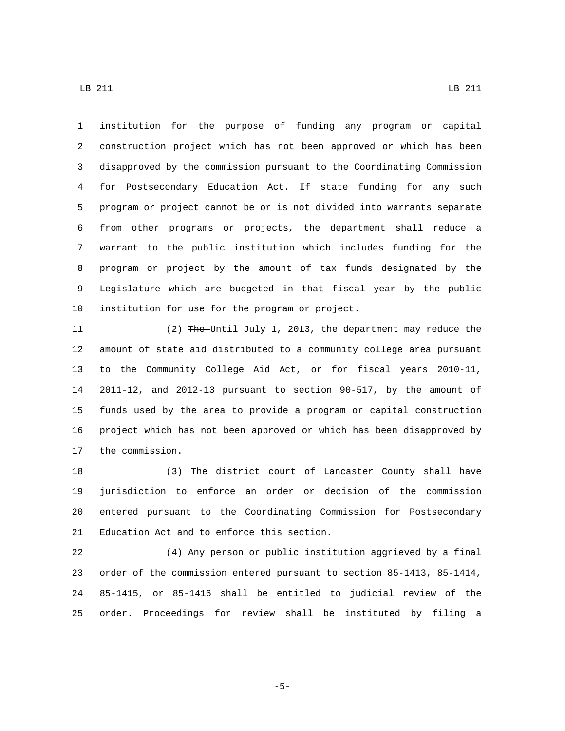institution for the purpose of funding any program or capital construction project which has not been approved or which has been disapproved by the commission pursuant to the Coordinating Commission for Postsecondary Education Act. If state funding for any such program or project cannot be or is not divided into warrants separate from other programs or projects, the department shall reduce a warrant to the public institution which includes funding for the program or project by the amount of tax funds designated by the Legislature which are budgeted in that fiscal year by the public 10 institution for use for the program or project.

11 (2) The Until July 1, 2013, the department may reduce the amount of state aid distributed to a community college area pursuant to the Community College Aid Act, or for fiscal years 2010-11, 2011-12, and 2012-13 pursuant to section 90-517, by the amount of funds used by the area to provide a program or capital construction project which has not been approved or which has been disapproved by 17 the commission.

 (3) The district court of Lancaster County shall have jurisdiction to enforce an order or decision of the commission entered pursuant to the Coordinating Commission for Postsecondary 21 Education Act and to enforce this section.

 (4) Any person or public institution aggrieved by a final order of the commission entered pursuant to section 85-1413, 85-1414, 85-1415, or 85-1416 shall be entitled to judicial review of the order. Proceedings for review shall be instituted by filing a

LB 211 LB 211

-5-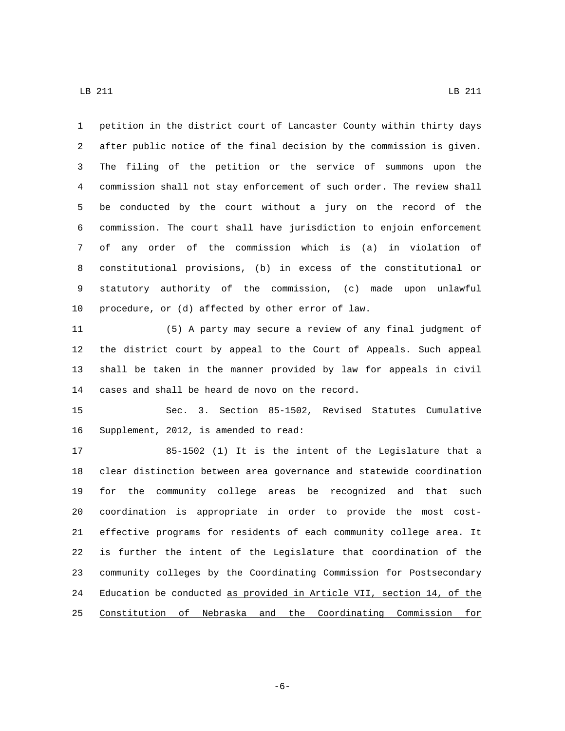LB 211 LB 211

 petition in the district court of Lancaster County within thirty days after public notice of the final decision by the commission is given. The filing of the petition or the service of summons upon the commission shall not stay enforcement of such order. The review shall be conducted by the court without a jury on the record of the commission. The court shall have jurisdiction to enjoin enforcement of any order of the commission which is (a) in violation of constitutional provisions, (b) in excess of the constitutional or statutory authority of the commission, (c) made upon unlawful 10 procedure, or  $(d)$  affected by other error of law.

 (5) A party may secure a review of any final judgment of the district court by appeal to the Court of Appeals. Such appeal shall be taken in the manner provided by law for appeals in civil 14 cases and shall be heard de novo on the record.

 Sec. 3. Section 85-1502, Revised Statutes Cumulative 16 Supplement, 2012, is amended to read:

 85-1502 (1) It is the intent of the Legislature that a clear distinction between area governance and statewide coordination for the community college areas be recognized and that such coordination is appropriate in order to provide the most cost- effective programs for residents of each community college area. It is further the intent of the Legislature that coordination of the community colleges by the Coordinating Commission for Postsecondary Education be conducted as provided in Article VII, section 14, of the Constitution of Nebraska and the Coordinating Commission for

-6-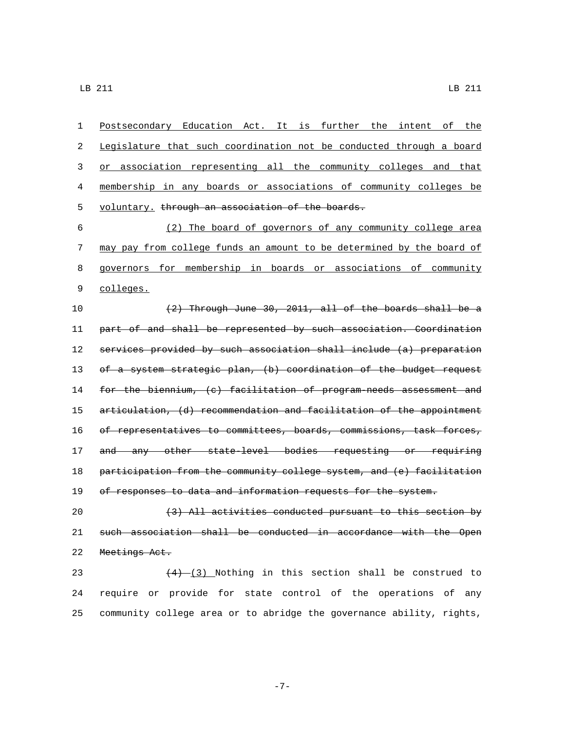Postsecondary Education Act. It is further the intent of the Legislature that such coordination not be conducted through a board or association representing all the community colleges and that membership in any boards or associations of community colleges be 5 voluntary. through an association of the boards. (2) The board of governors of any community college area may pay from college funds an amount to be determined by the board of governors for membership in boards or associations of community 9 colleges.  $(2)$  Through June 30, 2011, all of the boards shall be a part of and shall be represented by such association. Coordination services provided by such association shall include (a) preparation 13 of a system strategic plan, (b) coordination of the budget request 14 for the biennium, (c) facilitation of program-needs assessment and articulation, (d) recommendation and facilitation of the appointment 16 of representatives to committees, boards, commissions, task forces, 17 and any other state-level bodies requesting or requiring participation from the community college system, and (e) facilitation 19 of responses to data and information requests for the system.

20 (3) All activities conducted pursuant to this section by 21 such association shall be conducted in accordance with the Open 22 Meetings Act.

23  $(4)-(3)$  Nothing in this section shall be construed to 24 require or provide for state control of the operations of any 25 community college area or to abridge the governance ability, rights,

-7-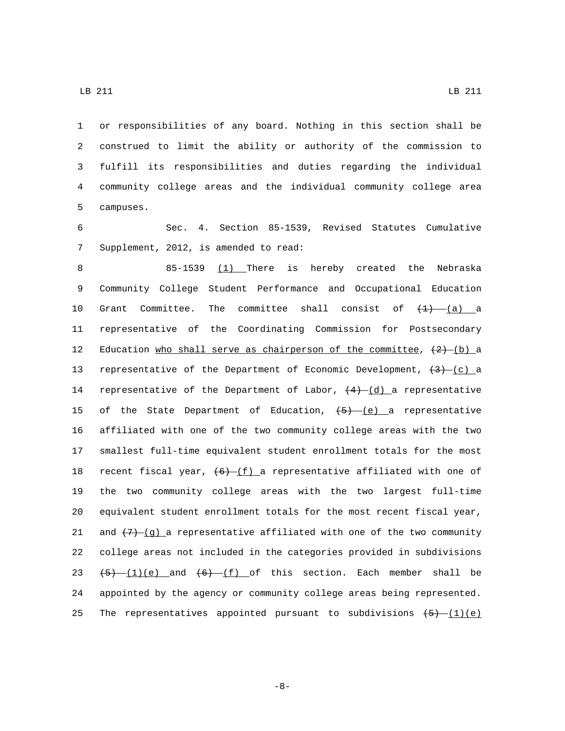or responsibilities of any board. Nothing in this section shall be construed to limit the ability or authority of the commission to fulfill its responsibilities and duties regarding the individual community college areas and the individual community college area 5 campuses.

6 Sec. 4. Section 85-1539, Revised Statutes Cumulative 7 Supplement, 2012, is amended to read:

8 85-1539 (1) There is hereby created the Nebraska 9 Community College Student Performance and Occupational Education 10 Grant Committee. The committee shall consist of  $\left(1\right)$  (a) a 11 representative of the Coordinating Commission for Postsecondary 12 Education who shall serve as chairperson of the committee,  $(2)$  (b) a 13 representative of the Department of Economic Development,  $\left(3\right)$  (c) a 14 representative of the Department of Labor,  $(4)-(d)$  a representative 15 of the State Department of Education,  $\{5\}$  (e) a representative 16 affiliated with one of the two community college areas with the two 17 smallest full-time equivalent student enrollment totals for the most 18 recent fiscal year,  $(6)$   $(f)$  a representative affiliated with one of 19 the two community college areas with the two largest full-time 20 equivalent student enrollment totals for the most recent fiscal year, 21 and  $(7)$  (g) a representative affiliated with one of the two community 22 college areas not included in the categories provided in subdivisions 23  $(5)$   $(1)(e)$  and  $(6)$   $(f)$  of this section. Each member shall be 24 appointed by the agency or community college areas being represented. 25 The representatives appointed pursuant to subdivisions  $(5)$   $(1)(e)$ 

LB 211 LB 211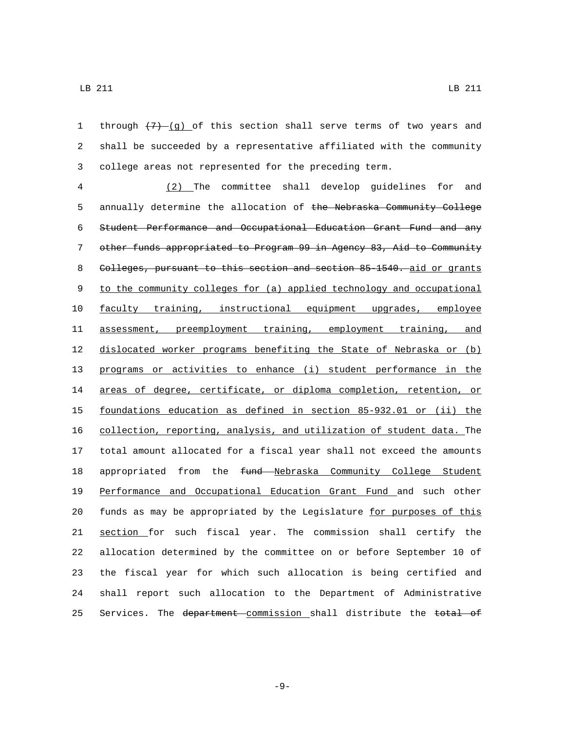1 through  $(7)$ -(q) of this section shall serve terms of two years and shall be succeeded by a representative affiliated with the community college areas not represented for the preceding term.

 (2) The committee shall develop guidelines for and 5 annually determine the allocation of the Nebraska Community College Student Performance and Occupational Education Grant Fund and any other funds appropriated to Program 99 in Agency 83, Aid to Community 8 Colleges, pursuant to this section and section 85-1540. aid or grants to the community colleges for (a) applied technology and occupational faculty training, instructional equipment upgrades, employee assessment, preemployment training, employment training, and dislocated worker programs benefiting the State of Nebraska or (b) programs or activities to enhance (i) student performance in the 14 areas of degree, certificate, or diploma completion, retention, or foundations education as defined in section 85-932.01 or (ii) the collection, reporting, analysis, and utilization of student data. The total amount allocated for a fiscal year shall not exceed the amounts 18 appropriated from the fund Nebraska Community College Student Performance and Occupational Education Grant Fund and such other funds as may be appropriated by the Legislature for purposes of this section for such fiscal year. The commission shall certify the allocation determined by the committee on or before September 10 of the fiscal year for which such allocation is being certified and shall report such allocation to the Department of Administrative 25 Services. The department commission shall distribute the total of

-9-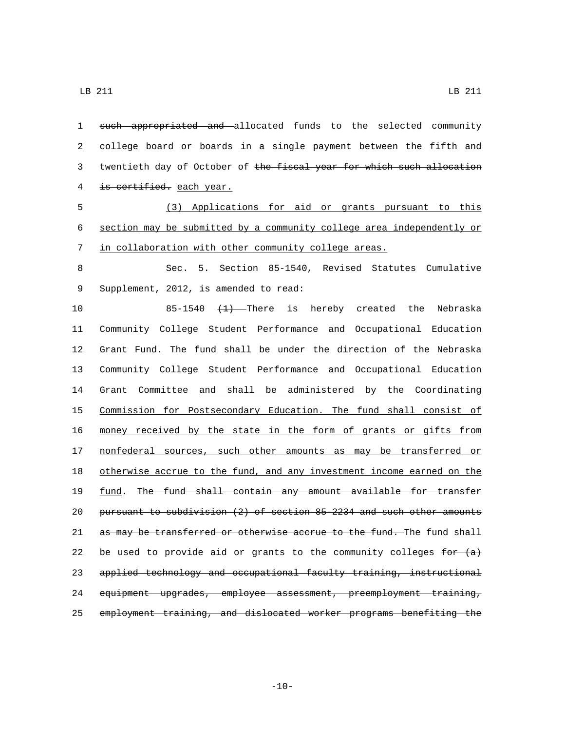1 such appropriated and allocated funds to the selected community 2 college board or boards in a single payment between the fifth and 3 twentieth day of October of the fiscal year for which such allocation 4 is certified. each year. 5 (3) Applications for aid or grants pursuant to this 6 section may be submitted by a community college area independently or 7 in collaboration with other community college areas. 8 Sec. 5. Section 85-1540, Revised Statutes Cumulative 9 Supplement, 2012, is amended to read: 10 85-1540 <del>(1)</del> There is hereby created the Nebraska 11 Community College Student Performance and Occupational Education 12 Grant Fund. The fund shall be under the direction of the Nebraska 13 Community College Student Performance and Occupational Education 14 Grant Committee and shall be administered by the Coordinating 15 Commission for Postsecondary Education. The fund shall consist of 16 money received by the state in the form of grants or gifts from 17 nonfederal sources, such other amounts as may be transferred or 18 otherwise accrue to the fund, and any investment income earned on the 19 fund. The fund shall contain any amount available for transfer 20 pursuant to subdivision (2) of section 85-2234 and such other amounts 21 as may be transferred or otherwise accrue to the fund. The fund shall 22 be used to provide aid or grants to the community colleges  $f^{\text{ex}}$  (a) 23 applied technology and occupational faculty training, instructional 24 equipment upgrades, employee assessment, preemployment training, 25 employment training, and dislocated worker programs benefiting the

LB 211 LB 211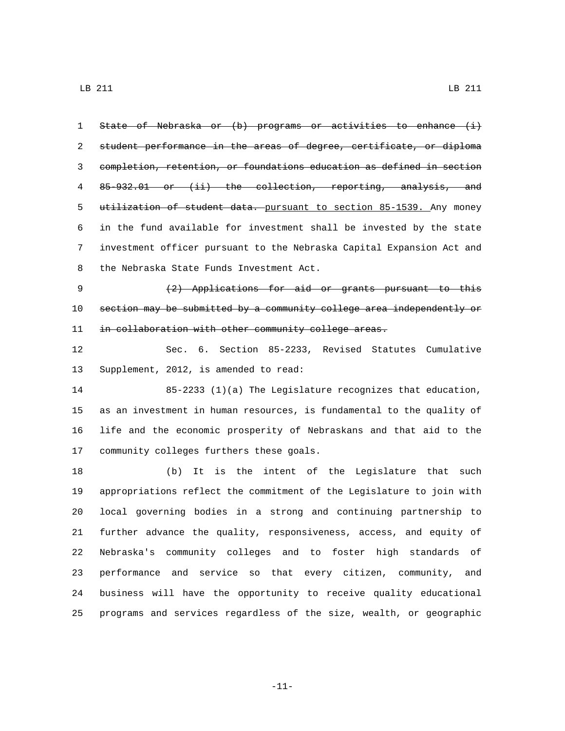| 1  | State of Nebraska or (b) programs or activities to enhance (i)        |
|----|-----------------------------------------------------------------------|
| 2  | student performance in the areas of degree, certificate, or diploma   |
| 3  | completion, retention, or foundations education as defined in section |
| 4  | 85-932.01 or (ii) the collection, reporting, analysis, and            |
| 5  | utilization of student data. pursuant to section 85-1539. Any money   |
| 6  | in the fund available for investment shall be invested by the state   |
| 7  | investment officer pursuant to the Nebraska Capital Expansion Act and |
| 8  | the Nebraska State Funds Investment Act.                              |
| 9  | $(2)$ Applications for aid or grants pursuant to this                 |
| 10 | section may be submitted by a community college area independently or |
| 11 | in collaboration with other community college areas.                  |
| 12 | Sec. 6. Section 85-2233, Revised Statutes Cumulative                  |
| 13 | Supplement, 2012, is amended to read:                                 |
| 14 | 85-2233 (1)(a) The Legislature recognizes that education,             |
| 15 | as an investment in human resources, is fundamental to the quality of |
| 16 | life and the economic prosperity of Nebraskans and that aid to the    |
| 17 | community colleges furthers these goals.                              |
| 18 | It is the intent of the Legislature that such<br>(b)                  |
| 19 | appropriations reflect the commitment of the Legislature to join with |
| 20 | local governing bodies in a strong and continuing partnership to      |
| 21 | further advance the quality, responsiveness, access, and equity of    |
| 22 | Nebraska's community colleges and to foster high standards of         |
| 23 | performance and service so that every citizen, community, and         |
| 24 | business will have the opportunity to receive quality educational     |
| 25 | programs and services regardless of the size, wealth, or geographic   |

-11-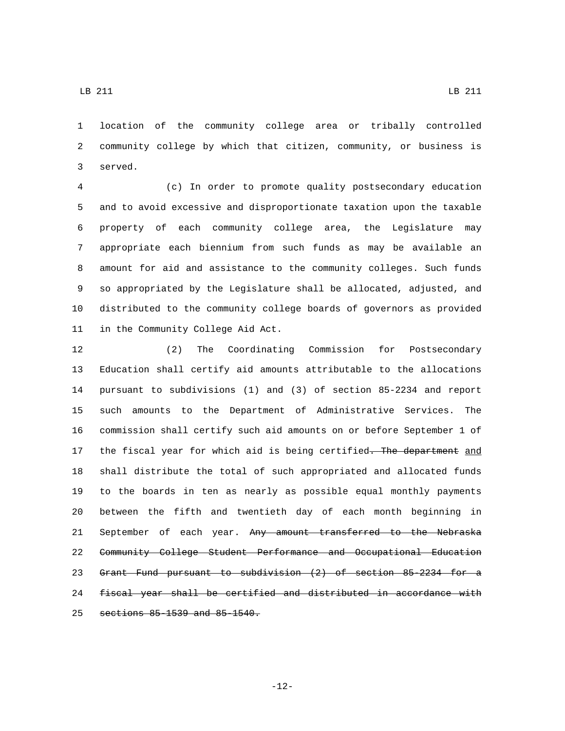location of the community college area or tribally controlled community college by which that citizen, community, or business is 3 served.

 (c) In order to promote quality postsecondary education and to avoid excessive and disproportionate taxation upon the taxable property of each community college area, the Legislature may appropriate each biennium from such funds as may be available an amount for aid and assistance to the community colleges. Such funds so appropriated by the Legislature shall be allocated, adjusted, and distributed to the community college boards of governors as provided 11 in the Community College Aid Act.

 (2) The Coordinating Commission for Postsecondary Education shall certify aid amounts attributable to the allocations pursuant to subdivisions (1) and (3) of section 85-2234 and report such amounts to the Department of Administrative Services. The commission shall certify such aid amounts on or before September 1 of 17 the fiscal year for which aid is being certified. The department and shall distribute the total of such appropriated and allocated funds to the boards in ten as nearly as possible equal monthly payments between the fifth and twentieth day of each month beginning in 21 September of each year. Any amount transferred to the Nebraska Community College Student Performance and Occupational Education Grant Fund pursuant to subdivision (2) of section 85-2234 for a fiscal year shall be certified and distributed in accordance with 25 sections 85-1539 and 85-1540.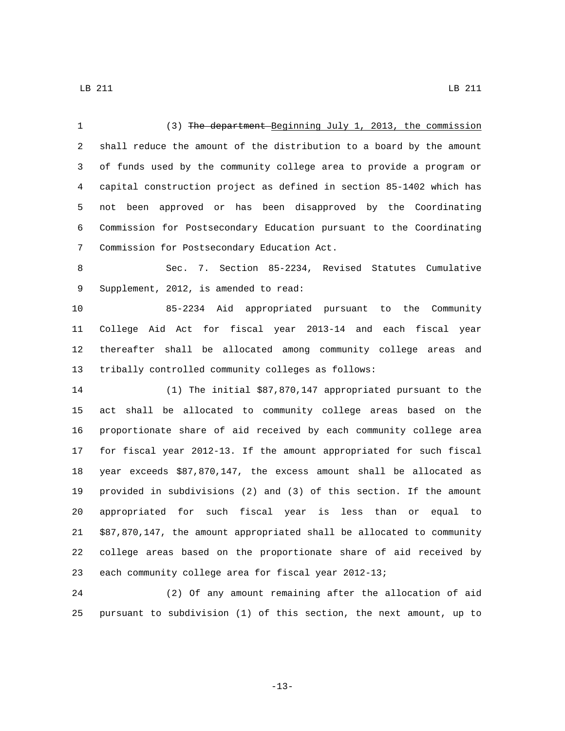| 1  | (3) The department Beginning July 1, 2013, the commission             |
|----|-----------------------------------------------------------------------|
| 2  | shall reduce the amount of the distribution to a board by the amount  |
| 3  | of funds used by the community college area to provide a program or   |
| 4  | capital construction project as defined in section 85-1402 which has  |
| 5  | approved or has been disapproved by the Coordinating<br>not been      |
| 6  | Commission for Postsecondary Education pursuant to the Coordinating   |
| 7  | Commission for Postsecondary Education Act.                           |
| 8  | 7. Section 85-2234, Revised Statutes<br>Cumulative<br>Sec.            |
| 9  | Supplement, 2012, is amended to read:                                 |
| 10 | 85-2234 Aid appropriated pursuant to the Community                    |
| 11 | College Aid Act for fiscal year 2013-14 and each fiscal year          |
| 12 | thereafter shall be allocated among community college areas and       |
| 13 | tribally controlled community colleges as follows:                    |
| 14 | (1) The initial \$87,870,147 appropriated pursuant to the             |
| 15 | shall be allocated to community college areas based on the<br>act     |
| 16 | proportionate share of aid received by each community college area    |
| 17 | for fiscal year 2012-13. If the amount appropriated for such fiscal   |
| 18 | year exceeds \$87,870,147, the excess amount shall be allocated as    |
| 19 | provided in subdivisions (2) and (3) of this section. If the amount   |
| 20 | appropriated for such fiscal year is less than or<br>equal<br>to      |
| 21 | \$87,870,147, the amount appropriated shall be allocated to community |
| 22 | college areas based on the proportionate share of aid received by     |
| 23 | each community college area for fiscal year 2012-13;                  |
| 24 | (2) Of any amount remaining after the allocation of aid               |

pursuant to subdivision (1) of this section, the next amount, up to

-13-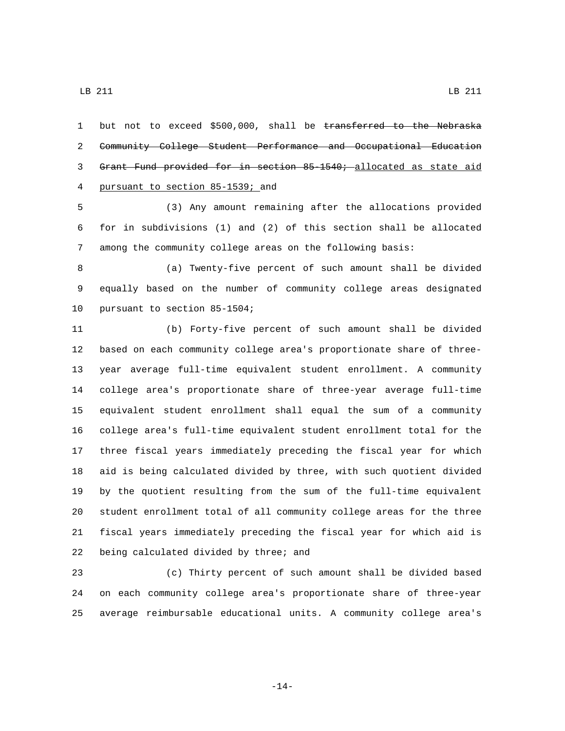LB 211 LB 211

1 but not to exceed \$500,000, shall be transferred to the Nebraska Community College Student Performance and Occupational Education Grant Fund provided for in section 85-1540; allocated as state aid pursuant to section 85-1539; and4

 (3) Any amount remaining after the allocations provided for in subdivisions (1) and (2) of this section shall be allocated among the community college areas on the following basis:

 (a) Twenty-five percent of such amount shall be divided equally based on the number of community college areas designated 10 pursuant to section 85-1504;

 (b) Forty-five percent of such amount shall be divided based on each community college area's proportionate share of three- year average full-time equivalent student enrollment. A community college area's proportionate share of three-year average full-time equivalent student enrollment shall equal the sum of a community college area's full-time equivalent student enrollment total for the three fiscal years immediately preceding the fiscal year for which aid is being calculated divided by three, with such quotient divided by the quotient resulting from the sum of the full-time equivalent student enrollment total of all community college areas for the three fiscal years immediately preceding the fiscal year for which aid is 22 being calculated divided by three; and

 (c) Thirty percent of such amount shall be divided based on each community college area's proportionate share of three-year average reimbursable educational units. A community college area's

-14-